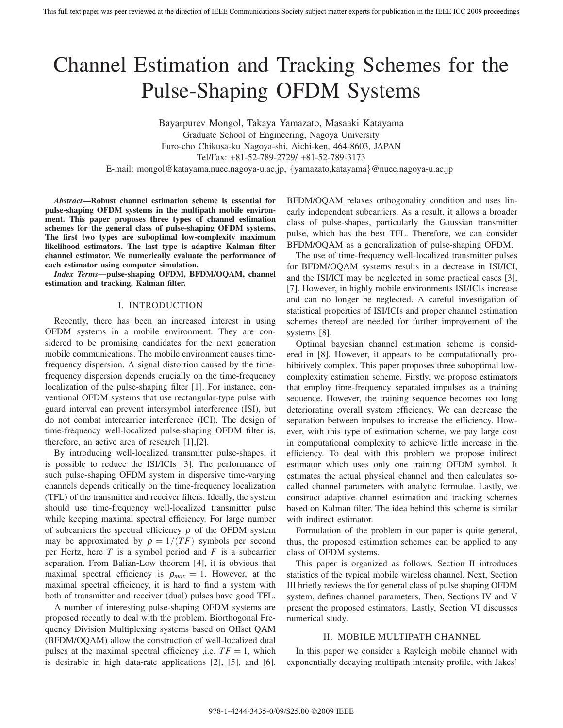# Channel Estimation and Tracking Schemes for the Pulse-Shaping OFDM Systems

Bayarpurev Mongol, Takaya Yamazato, Masaaki Katayama Graduate School of Engineering, Nagoya University Furo-cho Chikusa-ku Nagoya-shi, Aichi-ken, 464-8603, JAPAN Tel/Fax: +81-52-789-2729/ +81-52-789-3173 E-mail: mongol@katayama.nuee.nagoya-u.ac.jp, {yamazato,katayama}@nuee.nagoya-u.ac.jp

*Abstract***—Robust channel estimation scheme is essential for pulse-shaping OFDM systems in the multipath mobile environment. This paper proposes three types of channel estimation schemes for the general class of pulse-shaping OFDM systems. The first two types are suboptimal low-complexity maximum likelihood estimators. The last type is adaptive Kalman filter channel estimator. We numerically evaluate the performance of each estimator using computer simulation.**

*Index Terms***—pulse-shaping OFDM, BFDM/OQAM, channel estimation and tracking, Kalman filter.**

#### I. INTRODUCTION

Recently, there has been an increased interest in using OFDM systems in a mobile environment. They are considered to be promising candidates for the next generation mobile communications. The mobile environment causes timefrequency dispersion. A signal distortion caused by the timefrequency dispersion depends crucially on the time-frequency localization of the pulse-shaping filter [1]. For instance, conventional OFDM systems that use rectangular-type pulse with guard interval can prevent intersymbol interference (ISI), but do not combat intercarrier interference (ICI). The design of time-frequency well-localized pulse-shaping OFDM filter is, therefore, an active area of research [1],[2].

By introducing well-localized transmitter pulse-shapes, it is possible to reduce the ISI/ICIs [3]. The performance of such pulse-shaping OFDM system in dispersive time-varying channels depends critically on the time-frequency localization (TFL) of the transmitter and receiver filters. Ideally, the system should use time-frequency well-localized transmitter pulse while keeping maximal spectral efficiency. For large number of subcarriers the spectral efficiency  $\rho$  of the OFDM system may be approximated by  $\rho = 1/(TF)$  symbols per second per Hertz, here *T* is a symbol period and *F* is a subcarrier separation. From Balian-Low theorem [4], it is obvious that maximal spectral efficiency is  $\rho_{max} = 1$ . However, at the maximal spectral efficiency, it is hard to find a system with both of transmitter and receiver (dual) pulses have good TFL.

A number of interesting pulse-shaping OFDM systems are proposed recently to deal with the problem. Biorthogonal Frequency Division Multiplexing systems based on Offset QAM (BFDM/OQAM) allow the construction of well-localized dual pulses at the maximal spectral efficiency , i.e.  $TF = 1$ , which is desirable in high data-rate applications [2], [5], and [6]. BFDM/OQAM relaxes orthogonality condition and uses linearly independent subcarriers. As a result, it allows a broader class of pulse-shapes, particularly the Gaussian transmitter pulse, which has the best TFL. Therefore, we can consider BFDM/OQAM as a generalization of pulse-shaping OFDM.

The use of time-frequency well-localized transmitter pulses for BFDM/OQAM systems results in a decrease in ISI/ICI, and the ISI/ICI may be neglected in some practical cases [3], [7]. However, in highly mobile environments ISI/ICIs increase and can no longer be neglected. A careful investigation of statistical properties of ISI/ICIs and proper channel estimation schemes thereof are needed for further improvement of the systems [8].

Optimal bayesian channel estimation scheme is considered in [8]. However, it appears to be computationally prohibitively complex. This paper proposes three suboptimal lowcomplexity estimation scheme. Firstly, we propose estimators that employ time-frequency separated impulses as a training sequence. However, the training sequence becomes too long deteriorating overall system efficiency. We can decrease the separation between impulses to increase the efficiency. However, with this type of estimation scheme, we pay large cost in computational complexity to achieve little increase in the efficiency. To deal with this problem we propose indirect estimator which uses only one training OFDM symbol. It estimates the actual physical channel and then calculates socalled channel parameters with analytic formulae. Lastly, we construct adaptive channel estimation and tracking schemes based on Kalman filter. The idea behind this scheme is similar with indirect estimator.

Formulation of the problem in our paper is quite general, thus, the proposed estimation schemes can be applied to any class of OFDM systems.

This paper is organized as follows. Section II introduces statistics of the typical mobile wireless channel. Next, Section III briefly reviews the for general class of pulse shaping OFDM system, defines channel parameters, Then, Sections IV and V present the proposed estimators. Lastly, Section VI discusses numerical study.

## II. MOBILE MULTIPATH CHANNEL

In this paper we consider a Rayleigh mobile channel with exponentially decaying multipath intensity profile, with Jakes'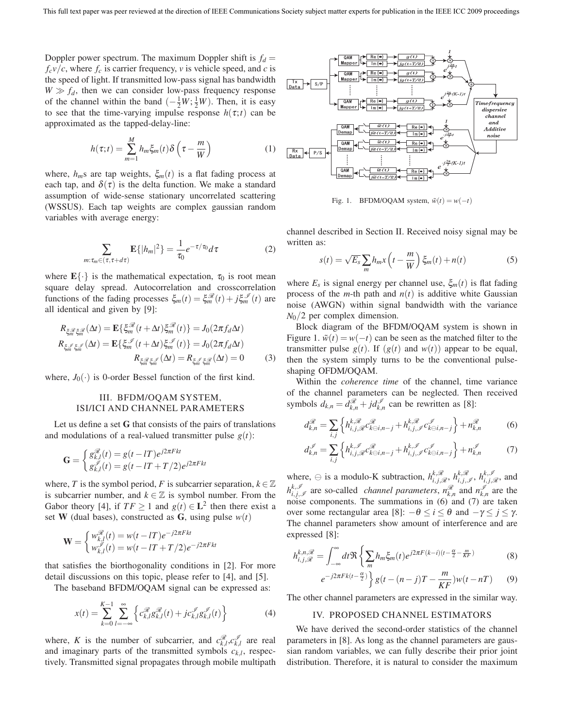Doppler power spectrum. The maximum Doppler shift is  $f_d =$  $f_c v/c$ , where  $f_c$  is carrier frequency, *v* is vehicle speed, and *c* is the speed of light. If transmitted low-pass signal has bandwidth  $W \gg f_d$ , then we can consider low-pass frequency response of the channel within the band  $\left(-\frac{1}{2}W, \frac{1}{2}W\right)$ . Then, it is easy to see that the time-varying impulse response  $h(\tau;t)$  can be approximated as the tapped-delay-line:

$$
h(\tau;t) = \sum_{m=1}^{M} h_m \xi_m(t) \delta\left(\tau - \frac{m}{W}\right)
$$
 (1)

where,  $h_m$ s are tap weights,  $\xi_m(t)$  is a flat fading process at each tap, and  $\delta(\tau)$  is the delta function. We make a standard assumption of wide-sense stationary uncorrelated scattering (WSSUS). Each tap weights are complex gaussian random variables with average energy:

$$
\sum_{m:\tau_m \in (\tau, \tau + d\tau)} \mathbf{E}\{|h_m|^2\} = \frac{1}{\tau_0} e^{-\tau/\tau_0} d\tau \tag{2}
$$

where  $\mathbf{E}\{\cdot\}$  is the mathematical expectation,  $\tau_0$  is root mean square delay spread. Autocorrelation and crosscorrelation functions of the fading processes  $\xi_m(t) = \xi_m^{\mathcal{R}}(t) + j\xi_m^{\mathcal{I}}(t)$  are all identical and given by [9]:

$$
R_{\xi_m^{\mathscr{B}}\xi_m^{\mathscr{B}}}(\Delta t) = \mathbf{E}\{\xi_m^{\mathscr{B}}(t+\Delta t)\xi_m^{\mathscr{B}}(t)\} = J_0(2\pi f_d \Delta t)
$$
  

$$
R_{\xi_m^{\mathscr{B}}\xi_m^{\mathscr{B}}}(\Delta t) = \mathbf{E}\{\xi_m^{\mathscr{B}}(t+\Delta t)\xi_m^{\mathscr{B}}(t)\} = J_0(2\pi f_d \Delta t)
$$
  

$$
R_{\xi_m^{\mathscr{B}}\xi_m^{\mathscr{B}}}(\Delta t) = R_{\xi_m^{\mathscr{B}}\xi_m^{\mathscr{B}}}(\Delta t) = 0
$$
 (3)

where,  $J_0(\cdot)$  is 0-order Bessel function of the first kind.

## III. BFDM/OQAM SYSTEM, ISI/ICI AND CHANNEL PARAMETERS

Let us define a set **G** that consists of the pairs of translations and modulations of a real-valued transmitter pulse  $g(t)$ :

$$
\mathbf{G} = \begin{cases} g_{k,l}^{\mathcal{R}}(t) = g(t - lT)e^{j2\pi Fkt} \\ g_{k,l}^{\mathcal{L}}(t) = g(t - lT + T/2)e^{j2\pi Fkt} \end{cases}
$$

where, *T* is the symbol period, *F* is subcarrier separation,  $k \in \mathbb{Z}$ is subcarrier number, and  $k \in \mathbb{Z}$  is symbol number. From the Gabor theory [4], if  $TF \geq 1$  and  $g(t) \in L^2$  then there exist a set **W** (dual bases), constructed as **G**, using pulse  $w(t)$ 

$$
\mathbf{W} = \begin{cases} w_{k,l}^{\mathcal{R}}(t) = w(t - lT)e^{-j2\pi Fkt} \\ w_{k,l}^{\mathcal{I}}(t) = w(t - lT + T/2)e^{-j2\pi Fkt} \end{cases}
$$

that satisfies the biorthogonality conditions in [2]. For more detail discussions on this topic, please refer to [4], and [5].

The baseband BFDM/OQAM signal can be expressed as:

$$
x(t) = \sum_{k=0}^{K-1} \sum_{l=-\infty}^{\infty} \left\{ c_{k,l}^{\mathcal{R}} g_{k,l}^{\mathcal{R}}(t) + j c_{k,l}^{\mathcal{I}} g_{k,l}^{\mathcal{I}}(t) \right\}
$$
(4)

where, *K* is the number of subcarrier, and  $c_{k,l}^{\mathcal{R}}, c_{k,l}^{\mathcal{I}}$  are real and imaginary parts of the transmitted symbols *ck*,*l*, respectively. Transmitted signal propagates through mobile multipath



Fig. 1. BFDM/OQAM system,  $\tilde{w}(t) = w(-t)$ 

channel described in Section II. Received noisy signal may be written as:

$$
s(t) = \sqrt{E_s} \sum_m h_m x \left( t - \frac{m}{W} \right) \xi_m(t) + n(t)
$$
 (5)

where  $E_s$  is signal energy per channel use,  $\xi_m(t)$  is flat fading process of the *m*-th path and  $n(t)$  is additive white Gaussian noise (AWGN) within signal bandwidth with the variance *N*0/2 per complex dimension.

Block diagram of the BFDM/OQAM system is shown in Figure 1.  $\tilde{w}(t) = w(-t)$  can be seen as the matched filter to the transmitter pulse  $g(t)$ . If  $(g(t)$  and  $w(t)$ ) appear to be equal, then the system simply turns to be the conventional pulseshaping OFDM/OQAM.

Within the *coherence time* of the channel, time variance of the channel parameters can be neglected. Then received symbols  $d_{k,n} = d_{k,n}^{\mathcal{R}} + j d_{k,n}^{\mathcal{I}}$  can be rewritten as [8]:

$$
d_{k,n}^{\mathcal{R}} = \sum_{i,j} \left\{ h_{i,j,\mathcal{R}}^{k,\mathcal{R}} c_{k\ominus i,n-j}^{\mathcal{R}} + h_{i,j,\mathcal{I}}^{k,\mathcal{R}} c_{k\ominus i,n-j}^{\mathcal{I}} \right\} + n_{k,n}^{\mathcal{R}} \tag{6}
$$

$$
d_{k,n}^{\mathscr{I}} = \sum_{i,j} \left\{ h_{i,j,\mathscr{R}}^{k,\mathscr{I}} c_{k\ominus i,n-j}^{\mathscr{R}} + h_{i,j,\mathscr{I}}^{k,\mathscr{I}} c_{k\ominus i,n-j}^{\mathscr{I}} \right\} + n_{k,n}^{\mathscr{I}} \tag{7}
$$

where,  $\ominus$  is a modulo-K subtraction,  $h_{i,j,\mathcal{R}}^{k,\mathcal{R}}, h_{i,j,\mathcal{I}}^{k,\mathcal{R}}, h_{i,j,\mathcal{R}}^{k,\mathcal{I}}$ , and  $h_{i,j,\mathscr{I}}^{k,\mathscr{I}}$  are so-called *channel parameters*,  $n_{k,n}^{\mathscr{R}}$  and  $n_{k,n}^{\mathscr{I}}$  are the noise components. The summations in (6) and (7) are taken over some rectangular area [8]:  $-\theta \le i \le \theta$  and  $-\gamma \le j \le \gamma$ . The channel parameters show amount of interference and are expressed [8]:

$$
h_{i,j,\mathcal{R}}^{k,n,\mathcal{R}} = \int_{-\infty}^{\infty} dt \Re \left\{ \sum_{m} h_m \xi_m(t) e^{j2\pi F(k-i)(t-\frac{\alpha}{2}-\frac{m}{KF})} \right. \tag{8}
$$

$$
e^{-j2\pi Fk(t-\frac{\alpha}{2})} \left\} g(t-(n-j)T-\frac{m}{KF})w(t-nT) \tag{9}
$$

The other channel parameters are expressed in the similar way.

## IV. PROPOSED CHANNEL ESTIMATORS

We have derived the second-order statistics of the channel parameters in [8]. As long as the channel parameters are gaussian random variables, we can fully describe their prior joint distribution. Therefore, it is natural to consider the maximum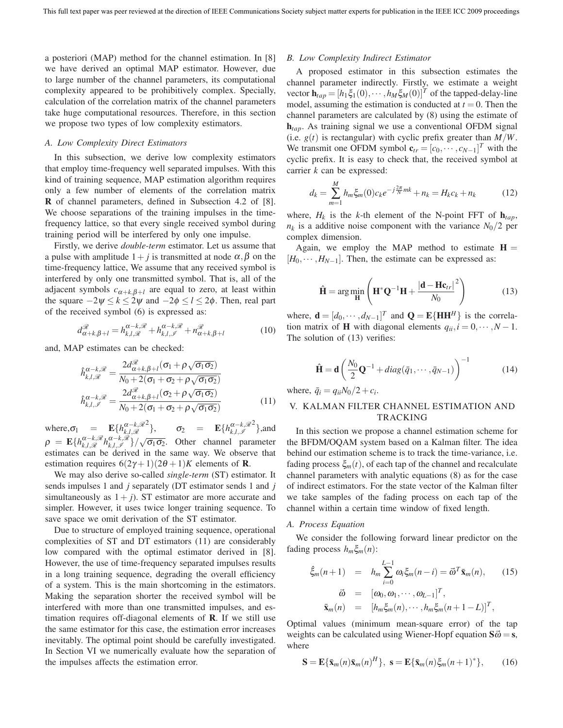a posteriori (MAP) method for the channel estimation. In [8] we have derived an optimal MAP estimator. However, due to large number of the channel parameters, its computational complexity appeared to be prohibitively complex. Specially, calculation of the correlation matrix of the channel parameters take huge computational resources. Therefore, in this section we propose two types of low complexity estimators.

### *A. Low Complexity Direct Estimators*

In this subsection, we derive low complexity estimators that employ time-frequency well separated impulses. With this kind of training sequence, MAP estimation algorithm requires only a few number of elements of the correlation matrix **R** of channel parameters, defined in Subsection 4.2 of [8]. We choose separations of the training impulses in the timefrequency lattice, so that every single received symbol during training period will be interfered by only one impulse.

Firstly, we derive *double-term* estimator. Let us assume that a pulse with amplitude  $1+j$  is transmitted at node  $\alpha, \beta$  on the time-frequency lattice, We assume that any received symbol is interfered by only one transmitted symbol. That is, all of the adjacent symbols  $c_{\alpha+k,\beta+l}$  are equal to zero, at least within the square  $-2\psi \le k \le 2\psi$  and  $-2\phi \le l \le 2\phi$ . Then, real part of the received symbol (6) is expressed as:

$$
d_{\alpha+k,\beta+l}^{\mathcal{R}} = h_{k,l,\mathcal{R}}^{\alpha-k,\mathcal{R}} + h_{k,l,\mathcal{I}}^{\alpha-k,\mathcal{R}} + n_{\alpha+k,\beta+l}^{\mathcal{R}}
$$
(10)

and, MAP estimates can be checked:

$$
\hat{h}_{k,l,\mathcal{R}}^{\alpha-k,\mathcal{R}} = \frac{2d_{\alpha+k,\beta+l}^{\mathcal{R}}(\sigma_1 + \rho\sqrt{\sigma_1\sigma_2})}{N_0 + 2(\sigma_1 + \sigma_2 + \rho\sqrt{\sigma_1\sigma_2})}
$$
\n
$$
\hat{h}_{k,l,\mathcal{I}}^{\alpha-k,\mathcal{R}} = \frac{2d_{\alpha+k,\beta+l}^{\mathcal{R}}(\sigma_2 + \rho\sqrt{\sigma_1\sigma_2})}{N_0 + 2(\sigma_1 + \sigma_2 + \rho\sqrt{\sigma_1\sigma_2})}
$$
\n(11)

where,  $\sigma_1$  = **E**{ $h_{k,l,\mathcal{R}}^{\alpha-k,\mathcal{R}}$  $\sigma_2$  = **E**{ $h_{k,l,\mathscr{I}}^{\alpha-k,\mathscr{R}}$  $2$ , and  $\rho = \mathbf{E} \{ h_{k,l,\mathcal{R}}^{\alpha-k,\mathcal{R}} h_{k,l,\mathcal{I}}^{\alpha-k,\mathcal{R}} \} / \sqrt{\sigma_1 \sigma_2}$ . Other channel parameter estimates can be derived in the same way. We observe that estimation requires  $6(2\gamma + 1)(2\theta + 1)K$  elements of **R**.

We may also derive so-called *single-term* (ST) estimator. It sends impulses 1 and *j* separately (DT estimator sends 1 and *j* simultaneously as  $1 + i$ ). ST estimator are more accurate and simpler. However, it uses twice longer training sequence. To save space we omit derivation of the ST estimator.

Due to structure of employed training sequence, operational complexities of ST and DT estimators (11) are considerably low compared with the optimal estimator derived in [8]. However, the use of time-frequency separated impulses results in a long training sequence, degrading the overall efficiency of a system. This is the main shortcoming in the estimators. Making the separation shorter the received symbol will be interfered with more than one transmitted impulses, and estimation requires off-diagonal elements of **R**. If we still use the same estimator for this case, the estimation error increases inevitably. The optimal point should be carefully investigated. In Section VI we numerically evaluate how the separation of the impulses affects the estimation error.

#### *B. Low Complexity Indirect Estimator*

A proposed estimator in this subsection estimates the channel parameter indirectly. Firstly, we estimate a weight vector  $\mathbf{h}_{tap} = [h_1 \xi_1(0), \cdots, h_M \xi_M(0)]^T$  of the tapped-delay-line model, assuming the estimation is conducted at  $t = 0$ . Then the channel parameters are calculated by (8) using the estimate of **h***tap*. As training signal we use a conventional OFDM signal (i.e.  $g(t)$  is rectangular) with cyclic prefix greater than  $M/W$ . We transmit one OFDM symbol  $\mathbf{c}_{tr} = [c_0, \dots, c_{N-1}]^T$  with the cyclic prefix. It is easy to check that, the received symbol at carrier *k* can be expressed:

$$
d_k = \sum_{m=1}^{M} h_m \xi_m(0) c_k e^{-j\frac{2\pi}{N}mk} + n_k = H_k c_k + n_k \tag{12}
$$

where,  $H_k$  is the *k*-th element of the N-point FFT of  $h_{tan}$ ,  $n_k$  is a additive noise component with the variance  $N_0/2$  per complex dimension.

Again, we employ the MAP method to estimate  $H =$  $[H_0, \cdots, H_{N-1}]$ . Then, the estimate can be expressed as:

$$
\hat{\mathbf{H}} = \arg\min_{\mathbf{H}} \left( \mathbf{H}^* \mathbf{Q}^{-1} \mathbf{H} + \frac{|\mathbf{d} - \mathbf{H} \mathbf{c}_{tr}|^2}{N_0} \right) \tag{13}
$$

where,  $\mathbf{d} = [d_0, \dots, d_{N-1}]^T$  and  $\mathbf{Q} = \mathbf{E} \{ \mathbf{H} \mathbf{H}^H \}$  is the correlation matrix of **H** with diagonal elements  $q_{ii}$ ,  $i = 0, \dots, N-1$ . The solution of (13) verifies:

$$
\hat{\mathbf{H}} = \mathbf{d} \left( \frac{N_0}{2} \mathbf{Q}^{-1} + diag(\bar{q}_1, \cdots, \bar{q}_{N-1}) \right)^{-1}
$$
(14)

where,  $\bar{q}_i = q_{ii}N_0/2 + c_i$ .

## V. KALMAN FILTER CHANNEL ESTIMATION AND TRACKING

In this section we propose a channel estimation scheme for the BFDM/OQAM system based on a Kalman filter. The idea behind our estimation scheme is to track the time-variance, i.e. fading process  $\xi_m(t)$ , of each tap of the channel and recalculate channel parameters with analytic equations (8) as for the case of indirect estimators. For the state vector of the Kalman filter we take samples of the fading process on each tap of the channel within a certain time window of fixed length.

## *A. Process Equation*

We consider the following forward linear predictor on the fading process *hm*ξ*m*(*n*):

$$
\hat{\xi}_m(n+1) = h_m \sum_{i=0}^{L-1} \omega_i \xi_m(n-i) = \vec{\omega}^T \bar{\mathbf{x}}_m(n), \qquad (15)
$$

$$
\vec{\omega} = [\omega_0, \omega_1, \cdots, \omega_{L-1}]^T,
$$

$$
\bar{\mathbf{x}}_m(n) = [h_m \xi_m(n), \cdots, h_m \xi_m(n+1-L)]^T,
$$

Optimal values (minimum mean-square error) of the tap weights can be calculated using Wiener-Hopf equation  $S\vec{\omega} = s$ , where

$$
\mathbf{S} = \mathbf{E}\{\bar{\mathbf{x}}_m(n)\bar{\mathbf{x}}_m(n)^H\}, \ \mathbf{s} = \mathbf{E}\{\bar{\mathbf{x}}_m(n)\xi_m(n+1)^*\}, \qquad (16)
$$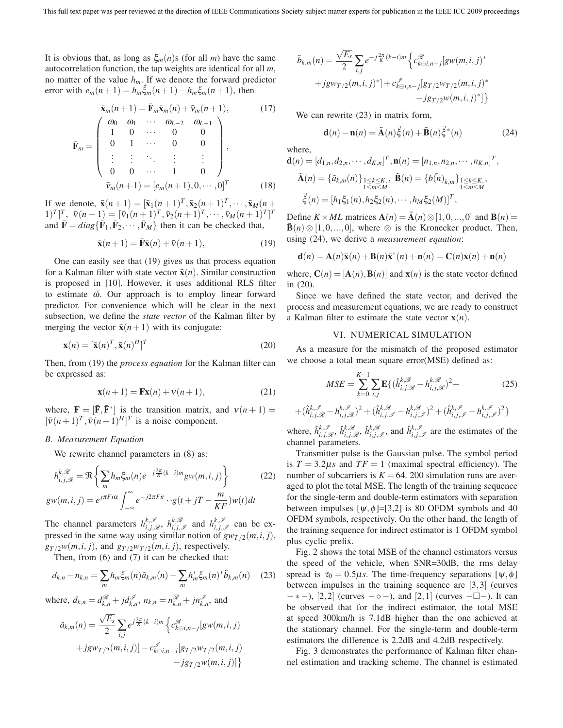It is obvious that, as long as  $\xi_m(n)$ s (for all *m*) have the same autocorrelation function, the tap weights are identical for all *m*, no matter of the value  $h_m$ . If we denote the forward predictor error with  $e_m(n+1) = h_m \hat{\xi}_m(n+1) - h_m \xi_m(n+1)$ , then

$$
\bar{\mathbf{x}}_m(n+1) = \bar{\mathbf{F}}_m \bar{\mathbf{x}}_m(n) + \bar{v}_m(n+1), \qquad (17)
$$
\n
$$
\bar{\mathbf{F}}_m = \begin{pmatrix}\n\omega_0 & \omega_1 & \cdots & \omega_{L-2} & \omega_{L-1} \\
1 & 0 & \cdots & 0 & 0 \\
0 & 1 & \cdots & 0 & 0 \\
\vdots & \vdots & \ddots & \vdots & \vdots \\
0 & 0 & \cdots & 1 & 0\n\end{pmatrix},
$$
\n
$$
\bar{v}_m(n+1) = [e_m(n+1), 0, \cdots, 0]^T \qquad (18)
$$

If we denote,  $\bar{\mathbf{x}}(n+1)=[\bar{\mathbf{x}}_1(n+1)^T, \bar{\mathbf{x}}_2(n+1)^T, \cdots, \bar{\mathbf{x}}_M(n+1)]$  $[\bar{v}_1(n+1)]^T$ ,  $\bar{v}(n+1) = [\bar{v}_1(n+1)^T, \bar{v}_2(n+1)^T, \cdots, \bar{v}_M(n+1)^T]^T$ and  $\bar{\mathbf{F}} = diag\{\bar{\mathbf{F}}_1, \bar{\mathbf{F}}_2, \cdots, \bar{\mathbf{F}}_M\}$  then it can be checked that,

$$
\bar{\mathbf{x}}(n+1) = \bar{\mathbf{F}}\bar{\mathbf{x}}(n) + \bar{\mathbf{v}}(n+1),\tag{19}
$$

One can easily see that (19) gives us that process equation for a Kalman filter with state vector  $\bar{\mathbf{x}}(n)$ . Similar construction is proposed in [10]. However, it uses additional RLS filter to estimate  $\vec{\omega}$ . Our approach is to employ linear forward predictor. For convenience which will be clear in the next subsection, we define the *state vector* of the Kalman filter by merging the vector  $\bar{\mathbf{x}}(n+1)$  with its conjugate:

$$
\mathbf{x}(n) = [\bar{\mathbf{x}}(n)^T, \bar{\mathbf{x}}(n)^H]^T
$$
\n(20)

Then, from (19) the *process equation* for the Kalman filter can be expressed as:

$$
\mathbf{x}(n+1) = \mathbf{F}\mathbf{x}(n) + \mathbf{v}(n+1),\tag{21}
$$

where,  $\mathbf{F} = [\mathbf{\bar{F}}, \mathbf{\bar{F}}^*]$  is the transition matrix, and  $v(n+1) =$  $[\bar{v}(n+1)^T, \bar{v}(n+1)^H]^T$  is a noise component.

## *B. Measurement Equation*

We rewrite channel parameters in  $(8)$  as:

$$
h_{i,j,\mathcal{R}}^{k,\mathcal{R}} = \Re \left\{ \sum_{m} h_m \xi_m(n) e^{-j\frac{2\pi}{K}(k-i)m} g w(m,i,j) \right\}
$$
(22)  
 
$$
g w(m,i,j) = e^{j\pi F i\alpha} \int_{-\infty}^{\infty} e^{-j2\pi F i t} \cdot g(t+jT-\frac{m}{KF}) w(t) dt
$$

The channel parameters  $h_{i,j,\mathcal{R}}^{k,\mathcal{I}}, h_{i,j,\mathcal{I}}^{k,\mathcal{R}}$  and  $h_{i,j,\mathcal{I}}^{k,\mathcal{I}}$  can be expressed in the same way using similar notion of  $g_{W_T/2}(m,i,j)$ ,  $g_{T/2}w(m,i,j)$ , and  $g_{T/2}w_{T/2}(m,i,j)$ , respectively.

Then, from (6) and (7) it can be checked that:

$$
d_{k,n} - n_{k,n} = \sum_{m} h_m \xi_m(n) \tilde{a}_{k,m}(n) + \sum_{m} h_m^* \xi_m(n)^* \tilde{b}_{k,m}(n) \quad (23)
$$

where, 
$$
d_{k,n} = d_{k,n}^{\mathcal{R}} + jd_{k,n}^{\mathcal{I}}, n_{k,n} = n_{k,n}^{\mathcal{R}} + jn_{k,n}^{\mathcal{I}},
$$
 and

$$
\tilde{a}_{k,m}(n) = \frac{\sqrt{E_s}}{2} \sum_{i,j} e^{j\frac{2\pi}{K}(k-i)m} \left\{ c_{k\ominus i,n-j}^{\mathscr{R}}[gw(m,i,j) + jgw_{T/2}(m,i,j)] - c_{k\ominus i,n-j}^{\mathscr{I}}[g_{T/2}w_{T/2}(m,i,j) - jg_{T/2}w(m,i,j)] \right\}
$$

$$
\tilde{b}_{k,m}(n) = \frac{\sqrt{E_s}}{2} \sum_{i,j} e^{-j\frac{2\pi}{K}(k-i)m} \left\{ c_{k \in i,n-j}^{\mathscr{R}} [gw(m,i,j)^* + jgw_{T/2}(m,i,j)^*] + c_{k \in i,n-j}^{\mathscr{I}} [gr/2w_{T/2}(m,i,j)^* - jgr_{T/2}w(m,i,j)^*] \right\}
$$

We can rewrite (23) in matrix form,

$$
\mathbf{d}(n) - \mathbf{n}(n) = \tilde{\mathbf{A}}(n)\vec{\xi}(n) + \tilde{\mathbf{B}}(n)\vec{\xi}^*(n)
$$
 (24)

where,

channel parameters.

$$
\mathbf{d}(n) = [d_{1,n}, d_{2,n}, \cdots, d_{K,n}]^T, \mathbf{n}(n) = [n_{1,n}, n_{2,n}, \cdots, n_{K,n}]^T,
$$
  

$$
\tilde{\mathbf{A}}(n) = \{\tilde{a}_{k,m}(n)\}_{\substack{1 \le k \le K, \\ 1 \le m \le M}}; \quad \tilde{\mathbf{B}}(n) = \{b(n)\}_{k,m}\}_{\substack{1 \le k \le K, \\ 1 \le m \le M}};
$$
  

$$
\vec{\xi}(n) = [h_1 \xi_1(n), h_2 \xi_2(n), \cdots, h_M \xi_2(M)]^T,
$$

Define *K* × *ML* matrices  $\mathbf{A}(n) = \tilde{\mathbf{A}}(n) \otimes [1, 0, ..., 0]$  and  $\mathbf{B}(n) =$  $\tilde{\mathbf{B}}(n) \otimes [1,0,...,0],$  where  $\otimes$  is the Kronecker product. Then, using (24), we derive a *measurement equation*:

$$
\mathbf{d}(n) = \mathbf{A}(n)\bar{\mathbf{x}}(n) + \mathbf{B}(n)\bar{\mathbf{x}}^*(n) + \mathbf{n}(n) = \mathbf{C}(n)\mathbf{x}(n) + \mathbf{n}(n)
$$

where,  $\mathbf{C}(n)=[\mathbf{A}(n),\mathbf{B}(n)]$  and  $\mathbf{x}(n)$  is the state vector defined in (20).

Since we have defined the state vector, and derived the process and measurement equations, we are ready to construct a Kalman filter to estimate the state vector  $\mathbf{x}(n)$ .

#### VI. NUMERICAL SIMULATION

As a measure for the mismatch of the proposed estimator we choose a total mean square error(MSE) defined as:

$$
MSE = \sum_{k=0}^{K-1} \sum_{i,j} \mathbf{E} \{ (\hat{h}_{i,j,\mathcal{R}}^{k,\mathcal{R}} - h_{i,j,\mathcal{R}}^{k,\mathcal{R}})^2 +
$$
(25)

$$
+(\hat{h}^{k,\mathcal{I}}_{i,j,\mathcal{R}}-h^{k,\mathcal{I}}_{i,j,\mathcal{R}})^2+(\hat{h}^{k,\mathcal{R}}_{i,j,\mathcal{I}}-h^{k,\mathcal{R}}_{i,j,\mathcal{I}})^2+(\hat{h}^{k,\mathcal{I}}_{i,j,\mathcal{I}}-h^{k,\mathcal{I}}_{i,j,\mathcal{I}})^2\}
$$
  
where,  $\hat{h}^{k,\mathcal{I}}_{i,j,\mathcal{R}}$ ,  $\hat{h}^{k,\mathcal{R}}_{i,j,\mathcal{R}}$ ,  $\hat{h}^{k,\mathcal{R}}_{i,j,\mathcal{I}}$ , and  $\hat{h}^{k,\mathcal{I}}_{i,j,\mathcal{I}}$  are the estimates of the

Transmitter pulse is the Gaussian pulse. The symbol period is  $T = 3.2$  *s* and  $TF = 1$  (maximal spectral efficiency). The number of subcarriers is  $K = 64$ . 200 simulation runs are averaged to plot the total MSE. The length of the training sequence for the single-term and double-term estimators with separation between impulses  $[\psi, \phi] = [3, 2]$  is 80 OFDM symbols and 40 OFDM symbols, respectively. On the other hand, the length of the training sequence for indirect estimator is 1 OFDM symbol plus cyclic prefix.

Fig. 2 shows the total MSE of the channel estimators versus the speed of the vehicle, when SNR=30dB, the rms delay spread is  $\tau_0 = 0.5$  *s*. The time-frequency separations [ $\psi$ , $\phi$ ] between impulses in the training sequence are [3,3] (curves  $-$ ∗−), [2,2] (curves  $-\diamond -$ ), and [2,1] (curves  $-\square$ ). It can be observed that for the indirect estimator, the total MSE at speed 300km/h is 7.1dB higher than the one achieved at the stationary channel. For the single-term and double-term estimators the difference is 2.2dB and 4.2dB respectively.

Fig. 3 demonstrates the performance of Kalman filter channel estimation and tracking scheme. The channel is estimated